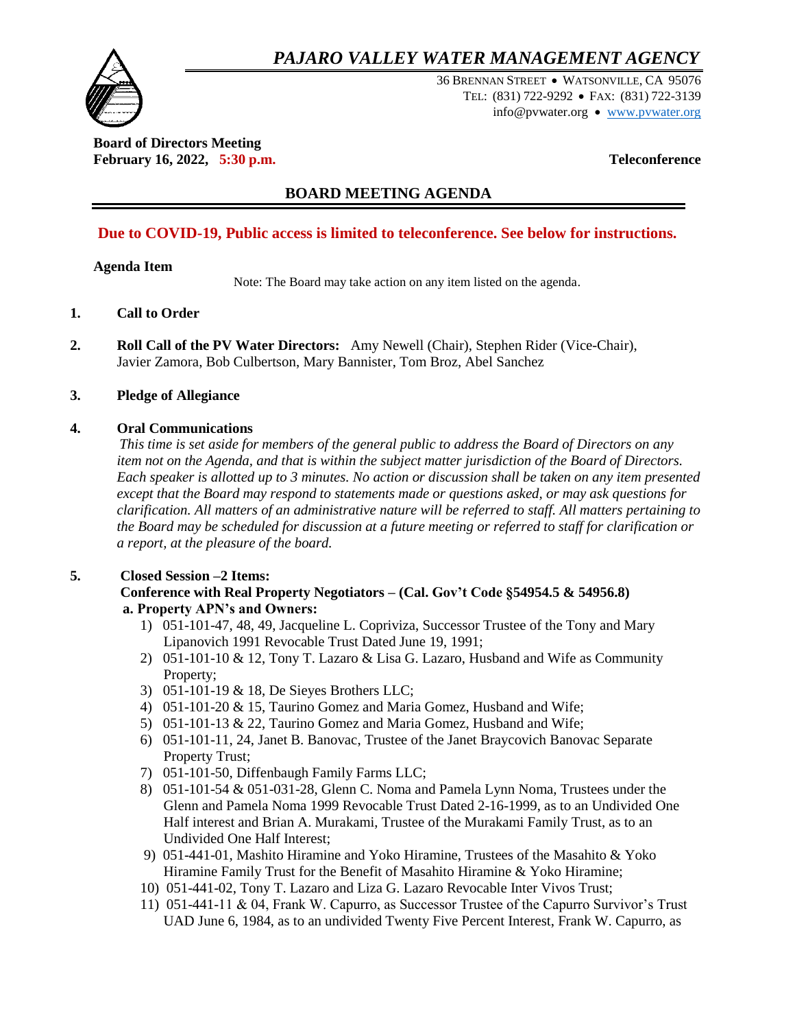## *PAJARO VALLEY WATER MANAGEMENT AGENCY*



36 BRENNAN STREET WATSONVILLE, CA 95076 TEL: (831) 722-9292 FAX: (831) 722-3139 info@pvwater.org • [www.pvwater.org](http://www.pvwater.org/)

**Board of Directors Meeting February 16, 2022, 5:30 p.m. Teleconference**

## **BOARD MEETING AGENDA**

## **Due to COVID-19, Public access is limited to teleconference. See below for instructions.**

#### **Agenda Item**

Note: The Board may take action on any item listed on the agenda.

- **1. Call to Order**
- **2. Roll Call of the PV Water Directors:** Amy Newell (Chair), Stephen Rider (Vice-Chair), Javier Zamora, Bob Culbertson, Mary Bannister, Tom Broz, Abel Sanchez

#### **3. Pledge of Allegiance**

#### **4. Oral Communications**

 *This time is set aside for members of the general public to address the Board of Directors on any item not on the Agenda, and that is within the subject matter jurisdiction of the Board of Directors. Each speaker is allotted up to 3 minutes. No action or discussion shall be taken on any item presented except that the Board may respond to statements made or questions asked, or may ask questions for clarification. All matters of an administrative nature will be referred to staff. All matters pertaining to the Board may be scheduled for discussion at a future meeting or referred to staff for clarification or a report, at the pleasure of the board.*

### **5. Closed Session –2 Items:**

#### **Conference with Real Property Negotiators – (Cal. Gov't Code §54954.5 & 54956.8) a. Property APN's and Owners:**

- 1) 051-101-47, 48, 49, Jacqueline L. Copriviza, Successor Trustee of the Tony and Mary Lipanovich 1991 Revocable Trust Dated June 19, 1991;
- 2) 051-101-10 & 12, Tony T. Lazaro & Lisa G. Lazaro, Husband and Wife as Community Property;
- 3) 051-101-19 & 18, De Sieyes Brothers LLC;
- 4) 051-101-20 & 15, Taurino Gomez and Maria Gomez, Husband and Wife;
- 5) 051-101-13 & 22, Taurino Gomez and Maria Gomez, Husband and Wife;
- 6) 051-101-11, 24, Janet B. Banovac, Trustee of the Janet Braycovich Banovac Separate Property Trust;
- 7) 051-101-50, Diffenbaugh Family Farms LLC;
- 8) 051-101-54 & 051-031-28, Glenn C. Noma and Pamela Lynn Noma, Trustees under the Glenn and Pamela Noma 1999 Revocable Trust Dated 2-16-1999, as to an Undivided One Half interest and Brian A. Murakami, Trustee of the Murakami Family Trust, as to an Undivided One Half Interest;
- 9) 051-441-01, Mashito Hiramine and Yoko Hiramine, Trustees of the Masahito & Yoko Hiramine Family Trust for the Benefit of Masahito Hiramine & Yoko Hiramine;
- 10) 051-441-02, Tony T. Lazaro and Liza G. Lazaro Revocable Inter Vivos Trust;
- 11) 051-441-11 & 04, Frank W. Capurro, as Successor Trustee of the Capurro Survivor's Trust UAD June 6, 1984, as to an undivided Twenty Five Percent Interest, Frank W. Capurro, as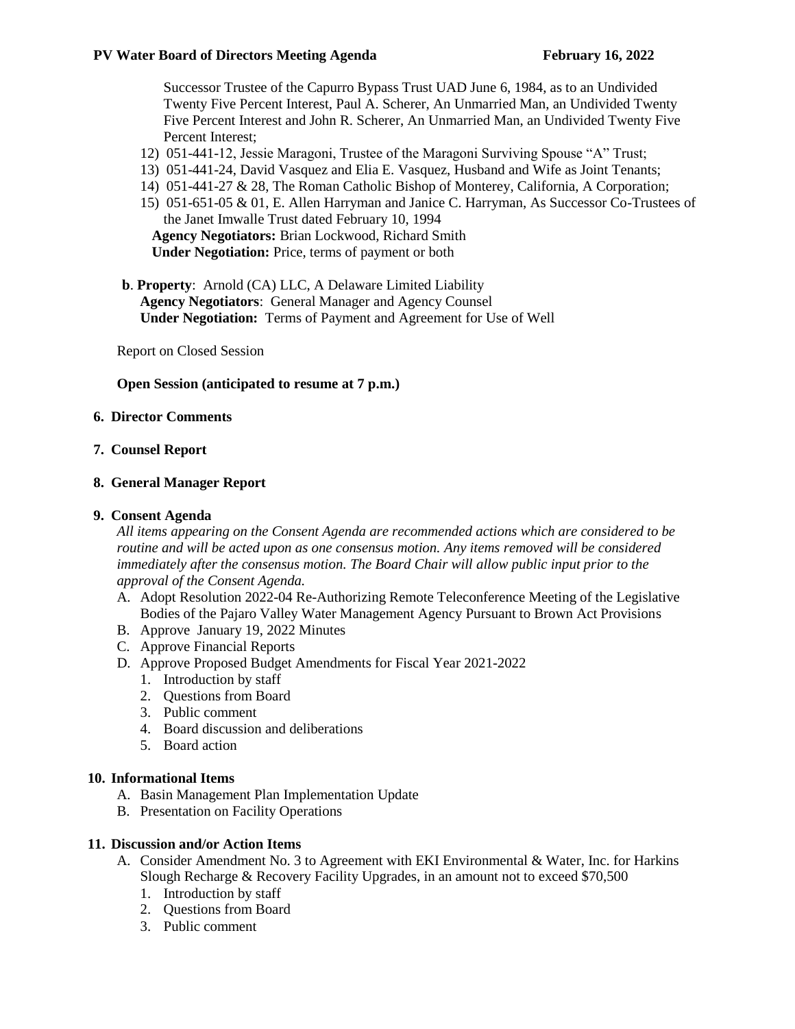Successor Trustee of the Capurro Bypass Trust UAD June 6, 1984, as to an Undivided Twenty Five Percent Interest, Paul A. Scherer, An Unmarried Man, an Undivided Twenty Five Percent Interest and John R. Scherer, An Unmarried Man, an Undivided Twenty Five Percent Interest;

- 12) 051-441-12, Jessie Maragoni, Trustee of the Maragoni Surviving Spouse "A" Trust;
- 13) 051-441-24, David Vasquez and Elia E. Vasquez, Husband and Wife as Joint Tenants;
- 14) 051-441-27 & 28, The Roman Catholic Bishop of Monterey, California, A Corporation;
- 15) 051-651-05 & 01, E. Allen Harryman and Janice C. Harryman, As Successor Co-Trustees of the Janet Imwalle Trust dated February 10, 1994 **Agency Negotiators:** Brian Lockwood, Richard Smith **Under Negotiation:** Price, terms of payment or both
- **b**. **Property**: Arnold (CA) LLC, A Delaware Limited Liability **Agency Negotiators**: General Manager and Agency Counsel **Under Negotiation:** Terms of Payment and Agreement for Use of Well

Report on Closed Session

#### **Open Session (anticipated to resume at 7 p.m.)**

#### **6. Director Comments**

#### **7. Counsel Report**

#### **8. General Manager Report**

#### **9. Consent Agenda**

*All items appearing on the Consent Agenda are recommended actions which are considered to be routine and will be acted upon as one consensus motion. Any items removed will be considered immediately after the consensus motion. The Board Chair will allow public input prior to the approval of the Consent Agenda.* 

- A. Adopt Resolution 2022-04 Re-Authorizing Remote Teleconference Meeting of the Legislative Bodies of the Pajaro Valley Water Management Agency Pursuant to Brown Act Provisions
- B. Approve January 19, 2022 Minutes
- C. Approve Financial Reports
- D. Approve Proposed Budget Amendments for Fiscal Year 2021-2022
	- 1. Introduction by staff
	- 2. Questions from Board
	- 3. Public comment
	- 4. Board discussion and deliberations
	- 5. Board action

#### **10. Informational Items**

- A. Basin Management Plan Implementation Update
- B. Presentation on Facility Operations

#### **11. Discussion and/or Action Items**

- A. Consider Amendment No. 3 to Agreement with EKI Environmental & Water, Inc. for Harkins Slough Recharge & Recovery Facility Upgrades, in an amount not to exceed \$70,500
	- 1. Introduction by staff
	- 2. Questions from Board
	- 3. Public comment